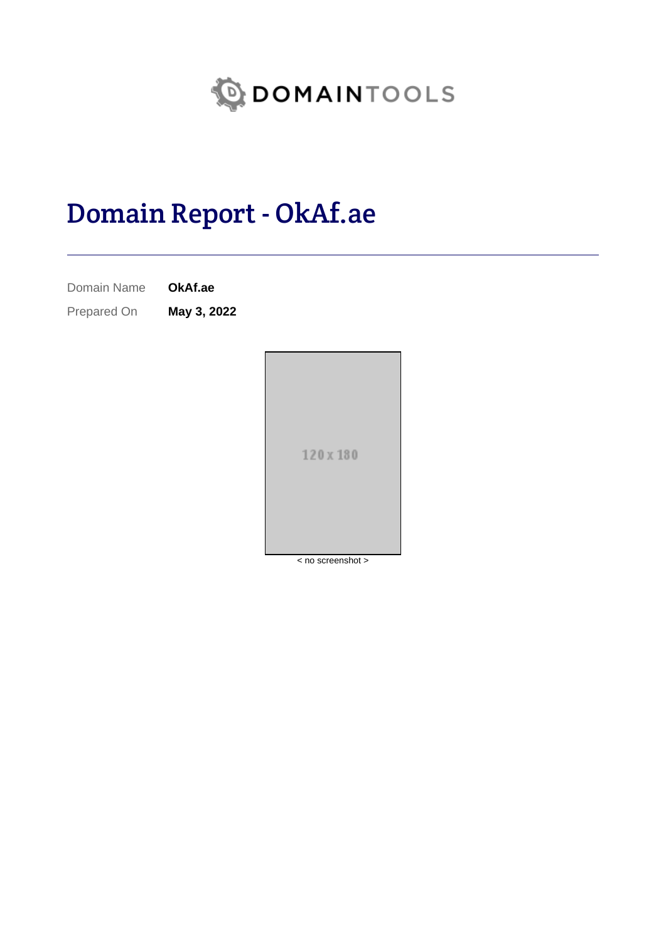

# Domain Report - OkAf.ae

Domain Name **OkAf.ae**

Prepared On **May 3, 2022**

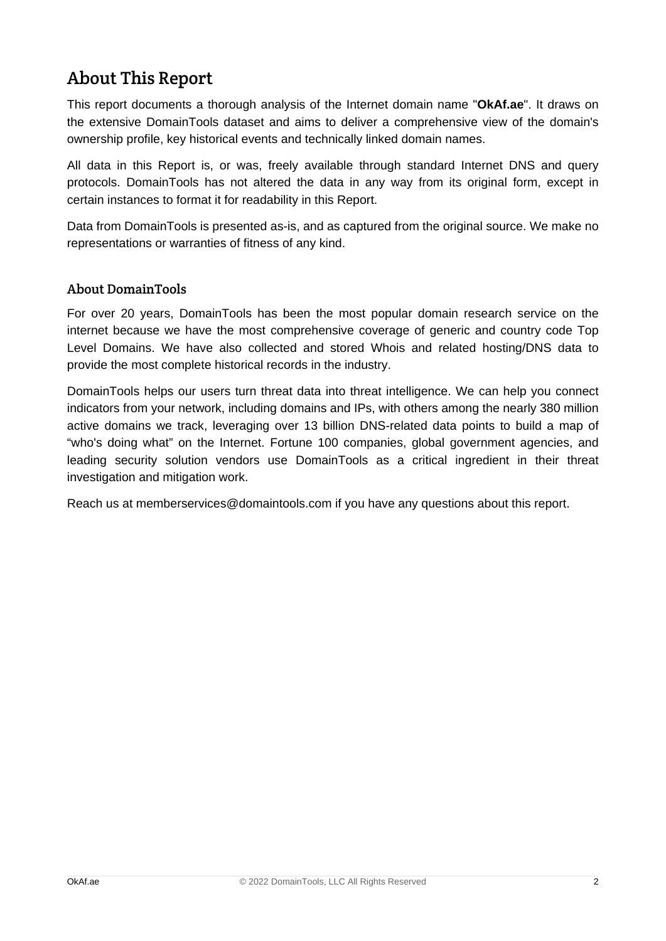# About This Report

This report documents a thorough analysis of the Internet domain name "**OkAf.ae**". It draws on the extensive DomainTools dataset and aims to deliver a comprehensive view of the domain's ownership profile, key historical events and technically linked domain names.

All data in this Report is, or was, freely available through standard Internet DNS and query protocols. DomainTools has not altered the data in any way from its original form, except in certain instances to format it for readability in this Report.

Data from DomainTools is presented as-is, and as captured from the original source. We make no representations or warranties of fitness of any kind.

### About DomainTools

For over 20 years, DomainTools has been the most popular domain research service on the internet because we have the most comprehensive coverage of generic and country code Top Level Domains. We have also collected and stored Whois and related hosting/DNS data to provide the most complete historical records in the industry.

DomainTools helps our users turn threat data into threat intelligence. We can help you connect indicators from your network, including domains and IPs, with others among the nearly 380 million active domains we track, leveraging over 13 billion DNS-related data points to build a map of "who's doing what" on the Internet. Fortune 100 companies, global government agencies, and leading security solution vendors use DomainTools as a critical ingredient in their threat investigation and mitigation work.

Reach us at memberservices@domaintools.com if you have any questions about this report.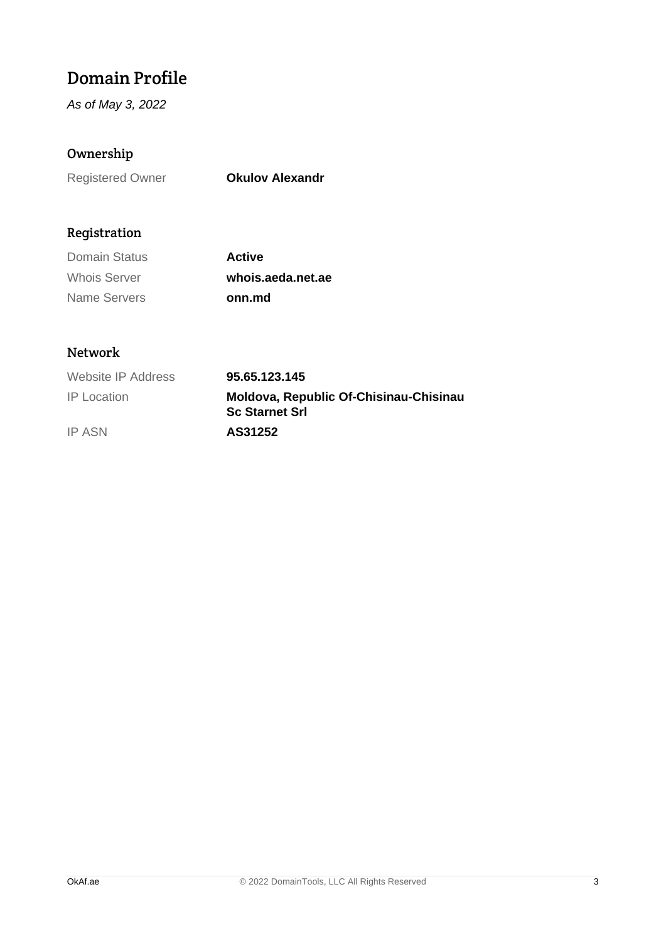# Domain Profile

As of May 3, 2022

### Ownership

Registered Owner **Okulov Alexandr**

### Registration

| Domain Status       | <b>Active</b>     |
|---------------------|-------------------|
| <b>Whois Server</b> | whois.aeda.net.ae |
| Name Servers        | onn.md            |

### Network

| Website IP Address | 95.65.123.145                                                   |
|--------------------|-----------------------------------------------------------------|
| <b>IP</b> Location | Moldova, Republic Of-Chisinau-Chisinau<br><b>Sc Starnet Srl</b> |
| <b>IP ASN</b>      | AS31252                                                         |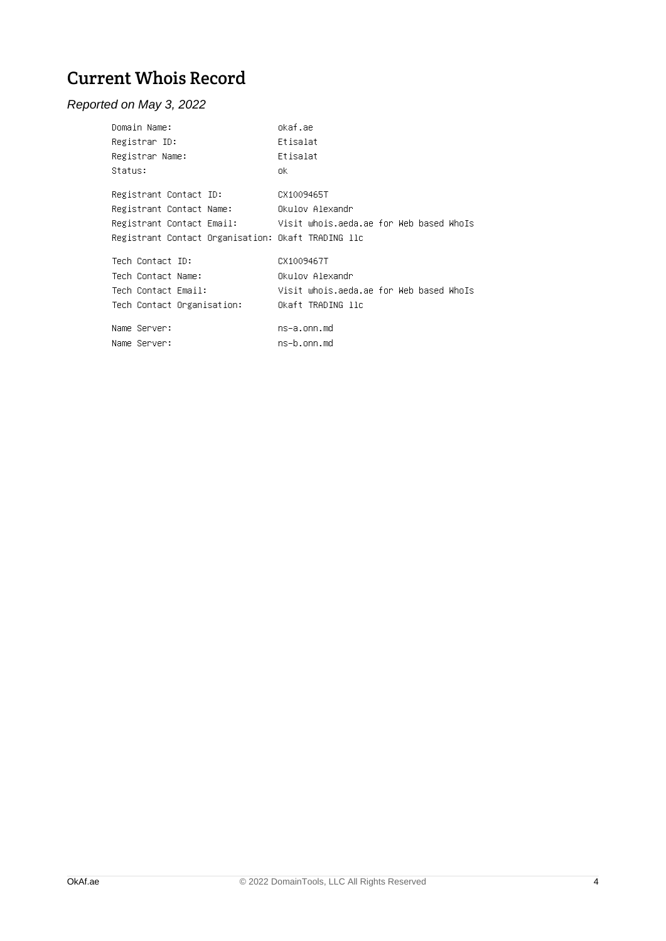# Current Whois Record

### Reported on May 3, 2022

| Domain Name:                                       | okaf.ae                                                           |
|----------------------------------------------------|-------------------------------------------------------------------|
| Registrar ID:                                      | Etisalat                                                          |
| Registrar Name:                                    | Etisalat                                                          |
| Status:                                            | ok.                                                               |
| Registrant Contact ID:                             | CX1009465T                                                        |
| Registrant Contact Name:                           | Okulov Alexandr                                                   |
|                                                    | Registrant Contact Email: Visit whois.aeda.ae for Web based WhoIs |
| Registrant Contact Organisation: Okaft TRADING llc |                                                                   |
| Tech Contact ID:                                   | CX1009467T                                                        |
| Tech Contact Name:                                 | Okulov Alexandr                                                   |
| Tech Contact Email:                                | Visit whois.aeda.ae for Web based WhoIs                           |
| Tech Contact Organisation:                         | Okaft TRADING llc                                                 |
| Name Server:                                       | ns–a.onn.md                                                       |
| Name Server:                                       | ns–b.onn.md                                                       |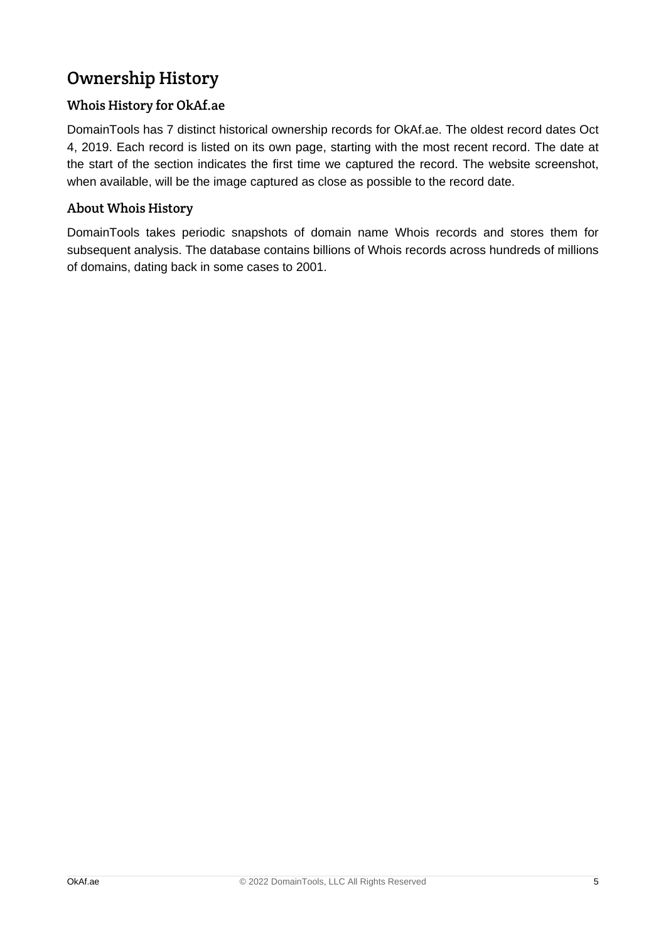# Ownership History

### Whois History for OkAf.ae

DomainTools has 7 distinct historical ownership records for OkAf.ae. The oldest record dates Oct 4, 2019. Each record is listed on its own page, starting with the most recent record. The date at the start of the section indicates the first time we captured the record. The website screenshot, when available, will be the image captured as close as possible to the record date.

### About Whois History

DomainTools takes periodic snapshots of domain name Whois records and stores them for subsequent analysis. The database contains billions of Whois records across hundreds of millions of domains, dating back in some cases to 2001.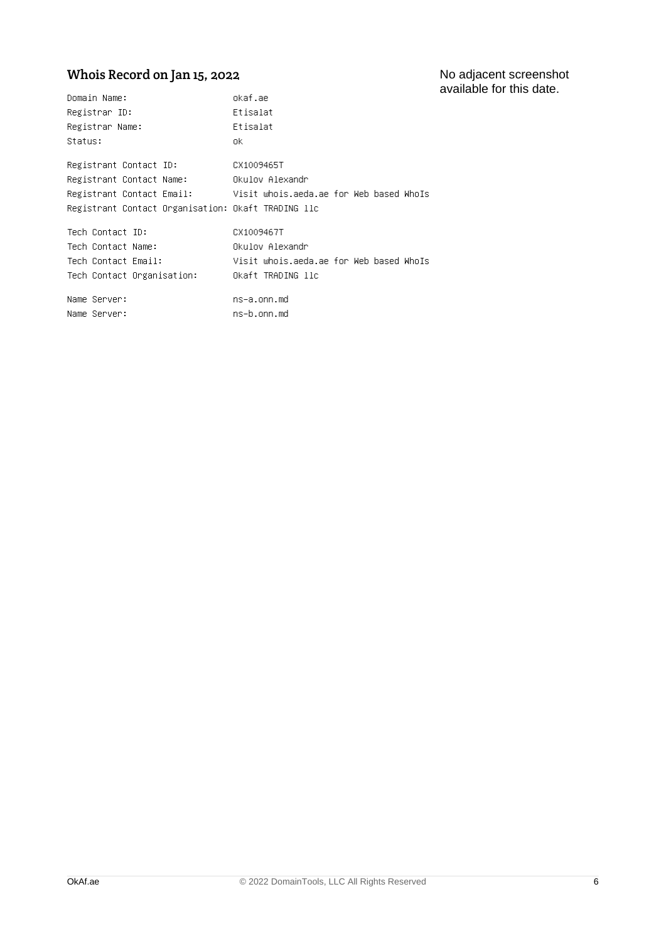# Whois Record on Jan 15, 2022

| Domain Name:                                       | okaf.ae                                                           |
|----------------------------------------------------|-------------------------------------------------------------------|
| Registrar ID:                                      | Etisalat                                                          |
| Registrar Name:                                    | Etisalat                                                          |
| Status:                                            | ok.                                                               |
| Registrant Contact ID:                             | CX1009465T                                                        |
| Registrant Contact Name:                           | Okulov Alexandr                                                   |
|                                                    | Registrant Contact Email: Visit whois.aeda.ae for Web based WhoIs |
| Registrant Contact Organisation: Okaft TRADING llc |                                                                   |
| Tech Contact ID:                                   | CX1009467T                                                        |
| Tech Contact Name:                                 | Okulov Alexandr                                                   |
| Tech Contact Email:                                | Visit whois.aeda.ae for Web based WhoIs                           |
| Tech Contact Organisation:                         | Okaft TRADING llc                                                 |
| Name Server:                                       | ns–a.onn.md                                                       |
|                                                    |                                                                   |
| Name Server:                                       | ns–b.onn.md                                                       |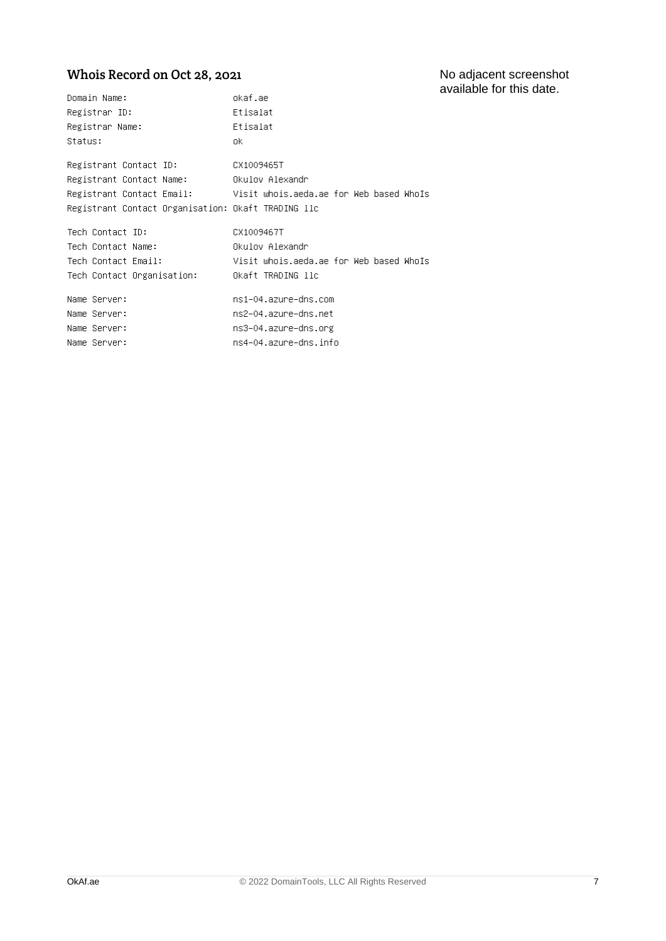### Whois Record on Oct 28, 2021

| Domain Name:                                       | okaf.ae                                                           |
|----------------------------------------------------|-------------------------------------------------------------------|
| Registrar ID:                                      | Etisalat                                                          |
| Registrar Name:                                    | Etisalat                                                          |
| Status:                                            | ok.                                                               |
| Registrant Contact ID:                             | CX1009465T                                                        |
| Registrant Contact Name:                           | Okulov Alexandr                                                   |
| Registrant Contact Organisation: Okaft TRADING llc | Registrant Contact Email: Visit whois.aeda.ae for Web based WhoIs |
| Tech Contact ID:                                   | CX1009467T                                                        |
| Tech Contact Name:                                 | Okulov Alexandr                                                   |
| Tech Contact Email:                                | Visit whois.aeda.ae for Web based WhoIs                           |
| Tech Contact Organisation:                         | Okaft TRADING llc                                                 |
| Name Server:                                       | ns1–04.azure–dns.com                                              |
| Name Server:                                       | ns2-04.azure-dns.net                                              |
| Name Server:                                       | ns3–04.azure–dns.org                                              |
| Name Server:                                       | ns4–04.azure–dns.info                                             |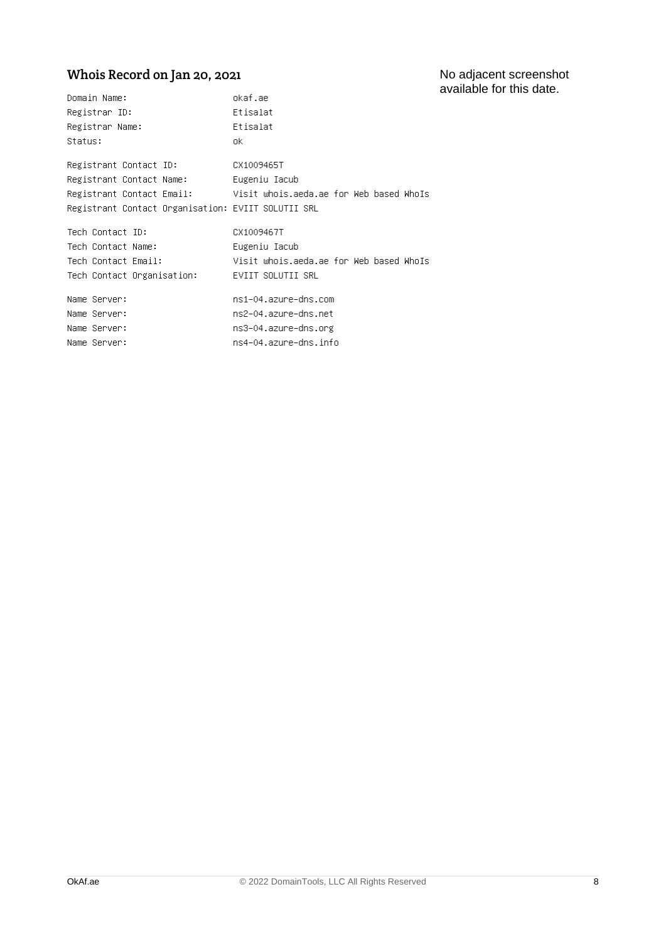# Whois Record on Jan 20, 2021

| Domain Name:                                       | okaf.ae                                                           |
|----------------------------------------------------|-------------------------------------------------------------------|
| Registrar ID:                                      | Etisalat                                                          |
| Registrar Name:                                    | Etisalat                                                          |
| Status:                                            | ok.                                                               |
| Registrant Contact ID:                             | CX1009465T                                                        |
| Registrant Contact Name:                           | Eugeniu Iacub                                                     |
| Registrant Contact Organisation: EVIIT SOLUTII SRL | Registrant Contact Email: Visit whois.aeda.ae for Web based WhoIs |
| Tech Contact ID:                                   | CX1009467T                                                        |
| Tech Contact Name:                                 | Eugeniu Iacub                                                     |
| Tech Contact Email:                                | Visit whois.aeda.ae for Web based WhoIs                           |
| Tech Contact Organisation:                         | EVIIT SOLUTII SRL                                                 |
| Name Server:                                       | ns1–04.azure–dns.com                                              |
| Name Server:                                       | ns2-04.azure-dns.net                                              |
| Name Server:                                       | ns3–04.azure–dns.org                                              |
| Name Server:                                       | ns4–04.azure–dns.info                                             |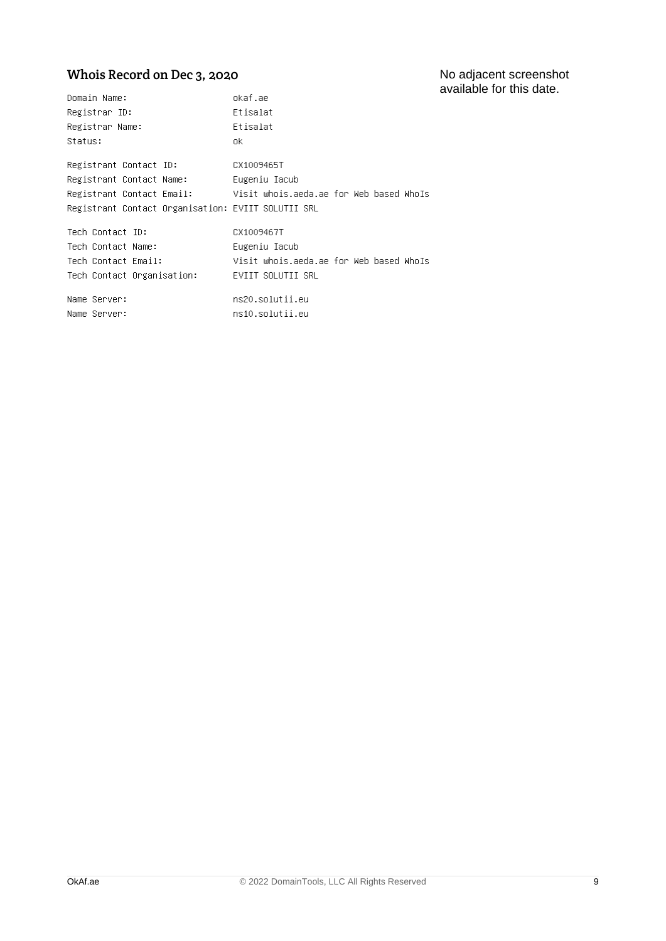#### No adjacent screenshot available for this date.

# Whois Record on Dec 3, 2020

| Domain Name:                                       | okaf.ae                                                           |
|----------------------------------------------------|-------------------------------------------------------------------|
| Registrar ID:                                      | Etisalat                                                          |
| Registrar Name:                                    | Etisalat                                                          |
| Status:                                            | ok.                                                               |
| Registrant Contact ID:                             | CX1009465T                                                        |
| Registrant Contact Name:                           | Eugeniu Iacub                                                     |
|                                                    | Registrant Contact Email: Visit whois.aeda.ae for Web based WhoIs |
| Registrant Contact Organisation: EVIIT SOLUTII SRL |                                                                   |
| Tech Contact ID:                                   | CX1009467T                                                        |
| Tech Contact Name:                                 | Eugeniu Iacub                                                     |
| Tech Contact Email:                                | Visit whois.aeda.ae for Web based WhoIs                           |
| Tech Contact Organisation:                         | EVIIT SOLUTII SRL                                                 |
| Name Server:                                       | ns20.solutii.eu                                                   |
| Name Server:                                       | ns10.solutii.eu                                                   |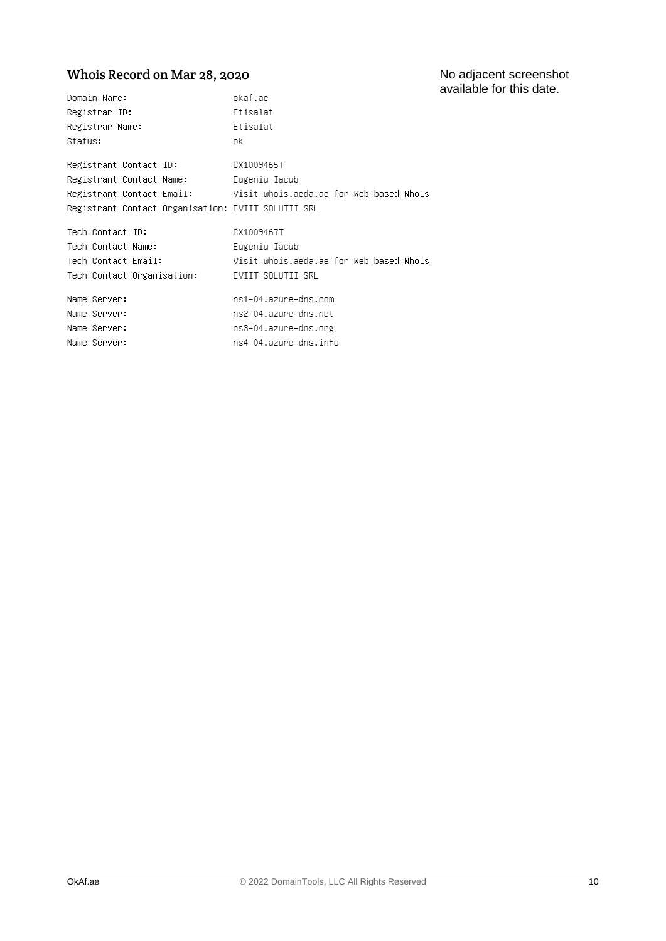### Whois Record on Mar 28, 2020

| Domain Name:                                       | okaf.ae                                                           |
|----------------------------------------------------|-------------------------------------------------------------------|
| Registrar ID:                                      | Etisalat                                                          |
| Registrar Name:                                    | Etisalat                                                          |
| Status:                                            | ok.                                                               |
| Registrant Contact ID:                             | CX1009465T                                                        |
| Registrant Contact Name:                           | Eugeniu Iacub                                                     |
| Registrant Contact Organisation: EVIIT SOLUTII SRL | Registrant Contact Email: Visit whois.aeda.ae for Web based WhoIs |
| Tech Contact ID:                                   | CX1009467T                                                        |
| Tech Contact Name:                                 | Eugeniu Iacub                                                     |
| Tech Contact Email:                                | Visit whois.aeda.ae for Web based WhoIs                           |
| Tech Contact Organisation:                         | EVIIT SOLUTII SRL                                                 |
| Name Server:                                       | ns1–04.azure–dns.com                                              |
| Name Server:                                       | ns2-04.azure-dns.net                                              |
| Name Server:                                       | ns3–04.azure–dns.org                                              |
| Name Server:                                       | ns4–04.azure–dns.info                                             |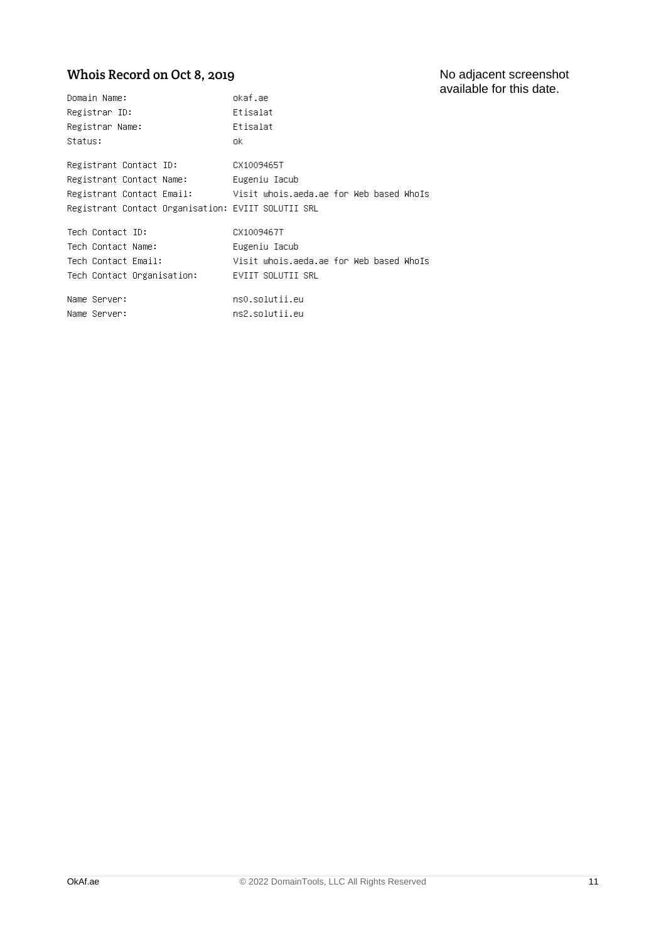#### No adjacent screenshot available for this date.

### Whois Record on Oct 8, 2019

| Domain Name:                                       | okaf.ae                                                           |
|----------------------------------------------------|-------------------------------------------------------------------|
| Registrar ID:                                      | Etisalat                                                          |
| Registrar Name:                                    | Etisalat                                                          |
| Status:                                            | 0k.                                                               |
| Registrant Contact ID:                             | CX1009465T                                                        |
| Registrant Contact Name:                           | Eugeniu Iacub                                                     |
|                                                    | Registrant Contact Email: Visit whois.aeda.ae for Web based WhoIs |
| Registrant Contact Organisation: EVIIT SOLUTII SRL |                                                                   |
| Tech Contact ID:                                   | CX1009467T                                                        |
| Tech Contact Name:                                 | Eugeniu Iacub                                                     |
| Tech Contact Email:                                | Visit whois.aeda.ae for Web based WhoIs                           |
| Tech Contact Organisation: EVIIT SOLUTII SRL       |                                                                   |
| Name Server:                                       | ns0.solutii.eu                                                    |
| Name Server:                                       | ns2.solutii.eu                                                    |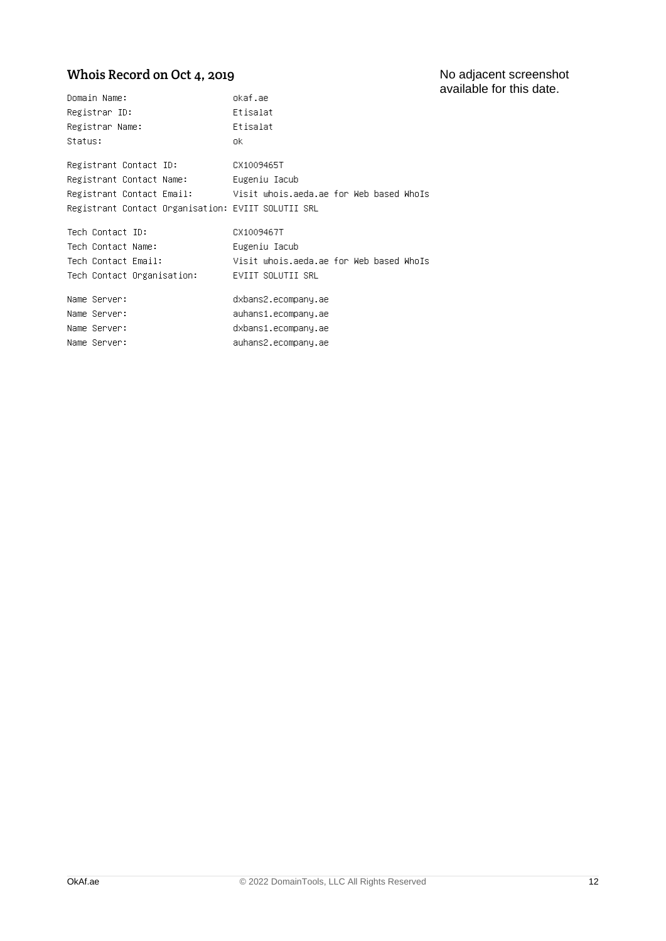#### No adjacent screenshot available for this date.

### Whois Record on Oct 4, 2019

| Domain Name:                                       | okaf.ae                                                           |  |
|----------------------------------------------------|-------------------------------------------------------------------|--|
| Registrar ID:                                      | Etisalat                                                          |  |
| Registrar Name:                                    | Etisalat                                                          |  |
| Status:                                            | nk.                                                               |  |
| Registrant Contact ID:                             | CX1009465T                                                        |  |
| Registrant Contact Name:                           | Eugeniu Iacub                                                     |  |
|                                                    | Registrant Contact Email: Visit whois.aeda.ae for Web based WhoIs |  |
| Registrant Contact Organisation: EVIIT SOLUTII SRL |                                                                   |  |
| Tech Contact ID:                                   | CX1009467T                                                        |  |
| Tech Contact Name:                                 | Eugeniu Iacub                                                     |  |
| Tech Contact Email:                                | Visit whois.aeda.ae for Web based WhoIs                           |  |
| Tech Contact Organisation:                         | EVIIT SOLUTII SRL                                                 |  |
| Name Server:                                       | dxbans2.ecompany.ae                                               |  |
| Name Server:                                       | auhans1.ecompany.ae                                               |  |
| Name Server:                                       | dxbans1.ecompany.ae                                               |  |
| Name Server:                                       | auhans2.ecompany.ae                                               |  |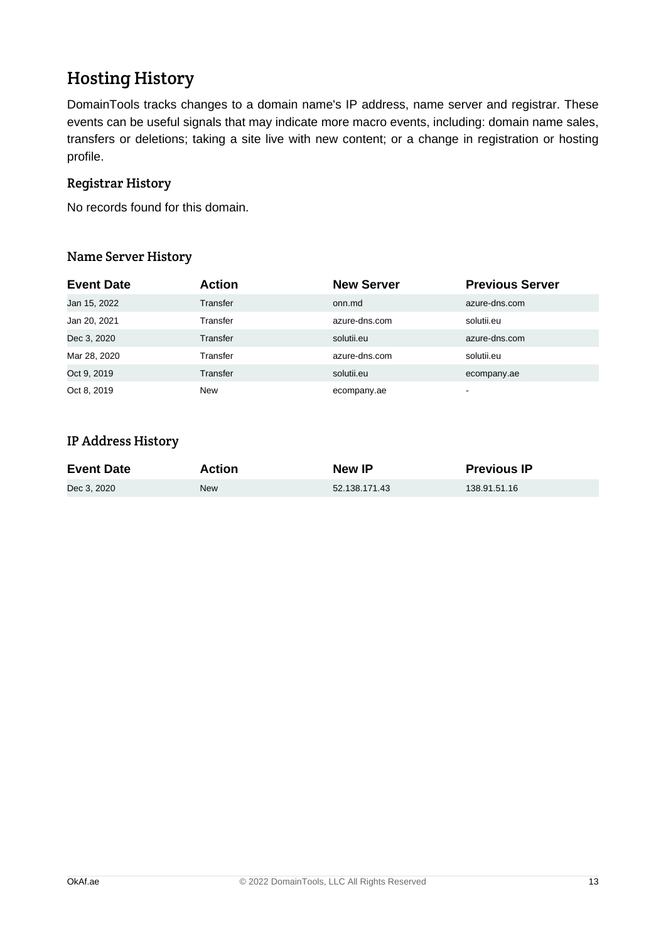# Hosting History

DomainTools tracks changes to a domain name's IP address, name server and registrar. These events can be useful signals that may indicate more macro events, including: domain name sales, transfers or deletions; taking a site live with new content; or a change in registration or hosting profile.

### Registrar History

No records found for this domain.

### Name Server History

| <b>Event Date</b> | <b>Action</b> | <b>New Server</b> | <b>Previous Server</b> |
|-------------------|---------------|-------------------|------------------------|
| Jan 15, 2022      | Transfer      | onn.md            | azure-dns.com          |
| Jan 20, 2021      | Transfer      | azure-dns.com     | solutii.eu             |
| Dec 3, 2020       | Transfer      | solutii.eu        | azure-dns.com          |
| Mar 28, 2020      | Transfer      | azure-dns.com     | solutii.eu             |
| Oct 9, 2019       | Transfer      | solutii.eu        | ecompany.ae            |
| Oct 8, 2019       | New           | ecompany.ae       | $\,$                   |

### IP Address History

| <b>Event Date</b> | Action     | <b>New IP</b> | <b>Previous IP</b> |
|-------------------|------------|---------------|--------------------|
| Dec 3. 2020       | <b>New</b> | 52.138.171.43 | 138.91.51.16       |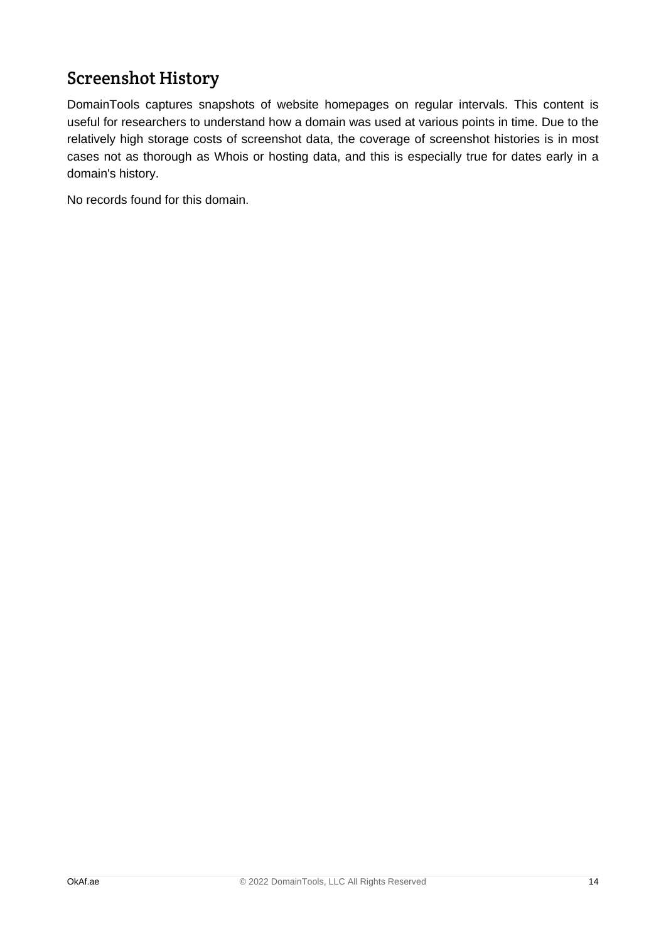# Screenshot History

DomainTools captures snapshots of website homepages on regular intervals. This content is useful for researchers to understand how a domain was used at various points in time. Due to the relatively high storage costs of screenshot data, the coverage of screenshot histories is in most cases not as thorough as Whois or hosting data, and this is especially true for dates early in a domain's history.

No records found for this domain.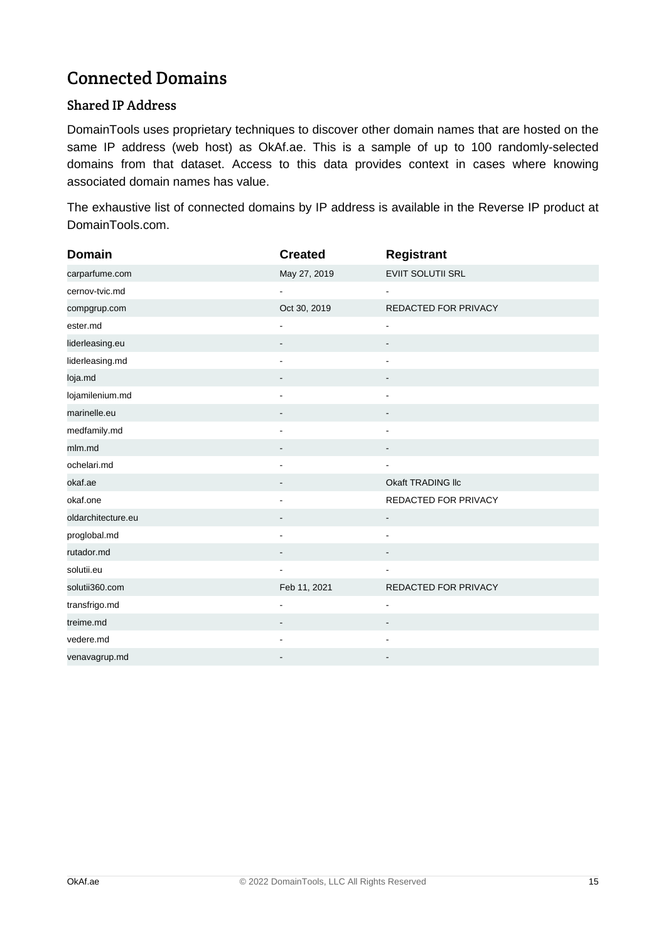# Connected Domains

### Shared IP Address

DomainTools uses proprietary techniques to discover other domain names that are hosted on the same IP address (web host) as OkAf.ae. This is a sample of up to 100 randomly-selected domains from that dataset. Access to this data provides context in cases where knowing associated domain names has value.

The exhaustive list of connected domains by IP address is available in the Reverse IP product at DomainTools.com.

| <b>Domain</b>      | <b>Created</b>               | Registrant               |
|--------------------|------------------------------|--------------------------|
| carparfume.com     | May 27, 2019                 | EVIIT SOLUTII SRL        |
| cernov-tvic.md     |                              |                          |
| compgrup.com       | Oct 30, 2019                 | REDACTED FOR PRIVACY     |
| ester.md           | $\overline{\phantom{0}}$     | $\blacksquare$           |
| liderleasing.eu    | -                            |                          |
| liderleasing.md    | $\blacksquare$               | $\blacksquare$           |
| loja.md            |                              |                          |
| lojamilenium.md    | $\blacksquare$               | ä,                       |
| marinelle.eu       | $\qquad \qquad \blacksquare$ |                          |
| medfamily.md       |                              |                          |
| mlm.md             |                              |                          |
| ochelari.md        |                              |                          |
| okaf.ae            |                              | Okaft TRADING IIc        |
| okaf.one           |                              | REDACTED FOR PRIVACY     |
| oldarchitecture.eu |                              | $\blacksquare$           |
| proglobal.md       |                              | $\blacksquare$           |
| rutador.md         |                              |                          |
| solutii.eu         |                              |                          |
| solutii360.com     | Feb 11, 2021                 | REDACTED FOR PRIVACY     |
| transfrigo.md      | $\blacksquare$               | $\blacksquare$           |
| treime.md          |                              | $\overline{\phantom{a}}$ |
| vedere.md          |                              |                          |
| venavagrup.md      |                              |                          |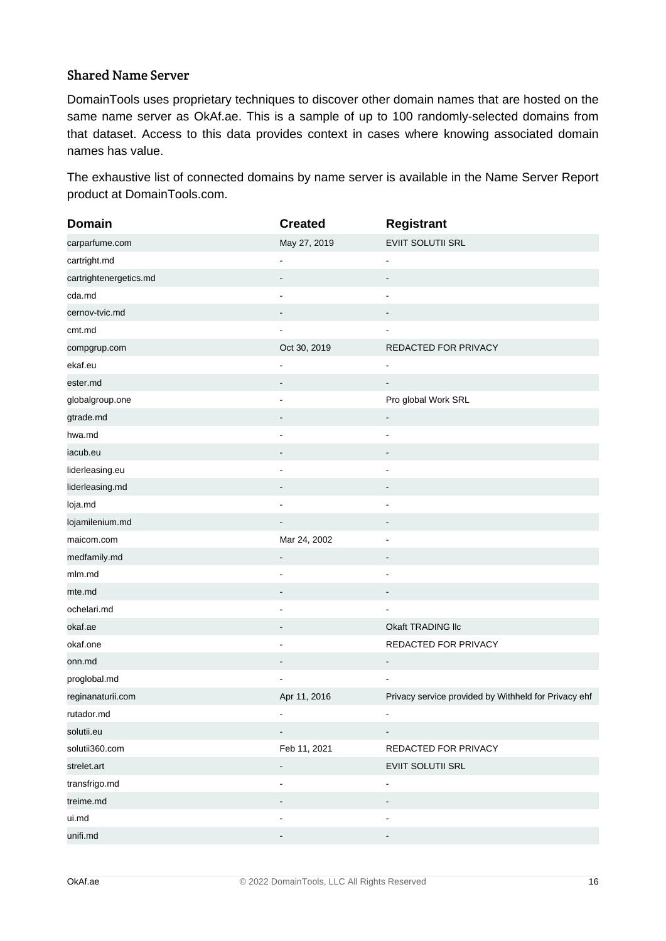#### Shared Name Server

DomainTools uses proprietary techniques to discover other domain names that are hosted on the same name server as OkAf.ae. This is a sample of up to 100 randomly-selected domains from that dataset. Access to this data provides context in cases where knowing associated domain names has value.

The exhaustive list of connected domains by name server is available in the Name Server Report product at DomainTools.com.

| <b>Domain</b>          | <b>Created</b>               | <b>Registrant</b>                                    |
|------------------------|------------------------------|------------------------------------------------------|
| carparfume.com         | May 27, 2019                 | EVIIT SOLUTII SRL                                    |
| cartright.md           | $\blacksquare$               | $\overline{\phantom{a}}$                             |
| cartrightenergetics.md | -                            | $\overline{\phantom{m}}$                             |
| cda.md                 | $\blacksquare$               | $\overline{\phantom{a}}$                             |
| cernov-tvic.md         |                              |                                                      |
| cmt.md                 |                              |                                                      |
| compgrup.com           | Oct 30, 2019                 | REDACTED FOR PRIVACY                                 |
| ekaf.eu                | $\blacksquare$               | $\blacksquare$                                       |
| ester.md               |                              | $\qquad \qquad \blacksquare$                         |
| globalgroup.one        |                              | Pro global Work SRL                                  |
| gtrade.md              |                              | $\qquad \qquad \blacksquare$                         |
| hwa.md                 |                              |                                                      |
| iacub.eu               |                              |                                                      |
| liderleasing.eu        | $\blacksquare$               | $\overline{\phantom{a}}$                             |
| liderleasing.md        |                              |                                                      |
| loja.md                | $\overline{a}$               |                                                      |
| lojamilenium.md        |                              |                                                      |
| maicom.com             | Mar 24, 2002                 | $\blacksquare$                                       |
| medfamily.md           |                              |                                                      |
| mlm.md                 |                              |                                                      |
| mte.md                 | -                            | $\blacksquare$                                       |
| ochelari.md            |                              |                                                      |
| okaf.ae                |                              | Okaft TRADING IIc                                    |
| okaf.one               | $\blacksquare$               | REDACTED FOR PRIVACY                                 |
| onn.md                 |                              | $\qquad \qquad \blacksquare$                         |
| proglobal.md           |                              |                                                      |
| reginanaturii.com      | Apr 11, 2016                 | Privacy service provided by Withheld for Privacy ehf |
| rutador.md             |                              |                                                      |
| solutii.eu             | $\overline{\phantom{0}}$     | $\qquad \qquad \blacksquare$                         |
| solutii360.com         | Feb 11, 2021                 | REDACTED FOR PRIVACY                                 |
| strelet.art            | ۰                            | EVIIT SOLUTII SRL                                    |
| transfrigo.md          | $\qquad \qquad \blacksquare$ | $\qquad \qquad \blacksquare$                         |
| treime.md              |                              |                                                      |
| ui.md                  | $\overline{a}$               | $\blacksquare$                                       |
| unifi.md               |                              |                                                      |